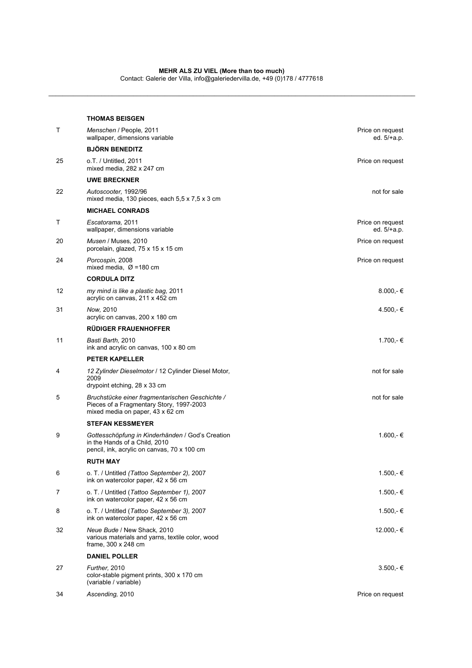\_\_\_\_\_\_\_\_\_\_\_\_\_\_\_\_\_\_\_\_\_\_\_\_\_\_\_\_\_\_\_\_\_\_\_\_\_\_\_\_\_\_\_\_\_\_\_\_\_\_\_\_\_\_\_\_\_\_\_\_\_\_\_\_\_\_\_\_\_\_\_\_\_\_\_\_\_\_\_\_\_\_\_\_\_\_\_\_\_\_\_\_\_\_\_\_\_\_\_\_\_\_\_\_

|    | <b>THOMAS BEISGEN</b>                                                                                                            |                                   |
|----|----------------------------------------------------------------------------------------------------------------------------------|-----------------------------------|
| T  | Menschen / People, 2011<br>wallpaper, dimensions variable                                                                        | Price on request<br>ed. 5/+a.p.   |
|    | <b>BJÖRN BENEDITZ</b>                                                                                                            |                                   |
| 25 | o.T. / Untitled. 2011<br>mixed media, 282 x 247 cm                                                                               | Price on request                  |
|    | <b>UWE BRECKNER</b>                                                                                                              |                                   |
| 22 | Autoscooter, 1992/96<br>mixed media, 130 pieces, each $5.5 \times 7.5 \times 3$ cm                                               | not for sale                      |
|    | <b>MICHAEL CONRADS</b>                                                                                                           |                                   |
| т  | Escatorama, 2011<br>wallpaper, dimensions variable                                                                               | Price on request<br>ed. $5/+a.p.$ |
| 20 | Musen / Muses, 2010<br>porcelain, glazed, 75 x 15 x 15 cm                                                                        | Price on request                  |
| 24 | Porcospin, 2008<br>mixed media, $\varnothing$ =180 cm                                                                            | Price on request                  |
|    | <b>CORDULA DITZ</b>                                                                                                              |                                   |
| 12 | my mind is like a plastic bag, 2011<br>acrylic on canvas, 211 x 452 cm                                                           | $8.000,-€$                        |
| 31 | Now, 2010<br>acrylic on canvas, 200 x 180 cm                                                                                     | 4.500,-€                          |
|    | <b>RÜDIGER FRAUENHOFFER</b>                                                                                                      |                                   |
| 11 | Basti Barth, 2010<br>ink and acrylic on canvas, 100 x 80 cm                                                                      | 1.700,-€                          |
|    | <b>PETER KAPELLER</b>                                                                                                            |                                   |
| 4  | 12 Zylinder Dieselmotor / 12 Cylinder Diesel Motor,<br>2009<br>drypoint etching, 28 x 33 cm                                      | not for sale                      |
| 5  | Bruchstücke einer fragmentarischen Geschichte /<br>Pieces of a Fragmentary Story, 1997-2003<br>mixed media on paper, 43 x 62 cm  | not for sale                      |
|    | <b>STEFAN KESSMEYER</b>                                                                                                          |                                   |
| 9  | Gottesschöpfung in Kinderhänden / God's Creation<br>in the Hands of a Child, 2010<br>pencil, ink, acrylic on canvas, 70 x 100 cm | $1.600,-€$                        |
|    | <b>RUTH MAY</b>                                                                                                                  |                                   |
| 6  | o. T. / Untitled (Tattoo September 2), 2007<br>ink on watercolor paper, 42 x 56 cm                                               | 1.500,-€                          |
| 7  | o. T. / Untitled (Tattoo September 1), 2007<br>ink on watercolor paper, 42 x 56 cm                                               | 1.500,-€                          |
| 8  | o. T. / Untitled (Tattoo September 3), 2007<br>ink on watercolor paper, 42 x 56 cm                                               | 1.500,-€                          |
| 32 | Neue Bude / New Shack, 2010<br>various materials and yarns, textile color, wood<br>frame, 300 x 248 cm                           | 12.000,-€                         |
|    | <b>DANIEL POLLER</b>                                                                                                             |                                   |
| 27 | Further, 2010<br>color-stable pigment prints, 300 x 170 cm<br>(variable / variable)                                              | $3.500 - \epsilon$                |
| 34 | Ascending, 2010                                                                                                                  | Price on request                  |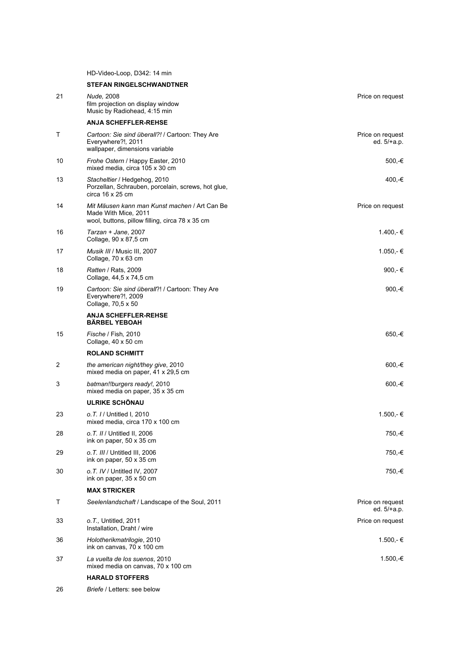HD-Video-Loop, D342: 14 min

|    | <b>STEFAN RINGELSCHWANDTNER</b>                                                                                          |                                 |
|----|--------------------------------------------------------------------------------------------------------------------------|---------------------------------|
| 21 | Nude, 2008<br>film projection on display window<br>Music by Radiohead, 4:15 min                                          | Price on request                |
|    | <b>ANJA SCHEFFLER-REHSE</b>                                                                                              |                                 |
| Т  | Cartoon: Sie sind überall?! / Cartoon: They Are<br>Everywhere?!, 2011<br>wallpaper, dimensions variable                  | Price on request<br>ed. 5/+a.p. |
| 10 | Frohe Ostern / Happy Easter, 2010<br>mixed media, circa 105 x 30 cm                                                      | 500,-€                          |
| 13 | Stacheltier / Hedgehog, 2010<br>Porzellan, Schrauben, porcelain, screws, hot glue,<br>circa $16 \times 25$ cm            | 400,-€                          |
| 14 | Mit Mäusen kann man Kunst machen / Art Can Be<br>Made With Mice, 2011<br>wool, buttons, pillow filling, circa 78 x 35 cm | Price on request                |
| 16 | Tarzan + Jane, 2007<br>Collage, 90 x 87,5 cm                                                                             | 1.400,-€                        |
| 17 | Musik III / Music III, 2007<br>Collage, 70 x 63 cm                                                                       | 1.050,-€                        |
| 18 | Ratten / Rats. 2009<br>Collage, 44,5 x 74,5 cm                                                                           | 900,-€                          |
| 19 | Cartoon: Sie sind überall?! / Cartoon: They Are<br>Everywhere?!, 2009<br>Collage, 70,5 x 50                              | 900,-€                          |
|    | <b>ANJA SCHEFFLER-REHSE</b><br><b>BARBEL YEBOAH</b>                                                                      |                                 |
| 15 | Fische / Fish, 2010<br>Collage, 40 x 50 cm                                                                               | 650,-€                          |
|    | <b>ROLAND SCHMITT</b>                                                                                                    |                                 |
| 2  | the american night/they give, 2010<br>mixed media on paper, 41 x 29,5 cm                                                 | 600,-€                          |
| 3  | batman!!burgers ready!, 2010<br>mixed media on paper, 35 x 35 cm                                                         | 600,-€                          |
|    | <b>ULRIKE SCHÖNAU</b>                                                                                                    |                                 |
| 23 | o. T. 1/ Untitled I, 2010<br>mixed media, circa 170 x 100 cm                                                             | 1.500,-€                        |
| 28 | o. T. II / Untitled II, 2006<br>ink on paper, 50 x 35 cm                                                                 | 750,-€                          |
| 29 | o. T. III / Untitled III, 2006<br>ink on paper, 50 x 35 cm                                                               | 750,-€                          |
| 30 | o. T. IV / Untitled IV. 2007<br>ink on paper, 35 x 50 cm                                                                 | 750,-€                          |
|    | <b>MAX STRICKER</b>                                                                                                      |                                 |
| Т  | Seelenlandschaft / Landscape of the Soul, 2011                                                                           | Price on request<br>ed. 5/+a.p. |
| 33 | o. T., Untitled, 2011<br>Installation, Draht / wire                                                                      | Price on request                |
| 36 | Holotherikmatrilogie, 2010<br>ink on canvas, 70 x 100 cm                                                                 | 1.500,-€                        |
| 37 | La vuelta de los suenos, 2010<br>mixed media on canvas, 70 x 100 cm                                                      | 1.500,-€                        |
|    | <b>HARALD STOFFERS</b>                                                                                                   |                                 |
| 26 | Briefe / Letters: see below                                                                                              |                                 |